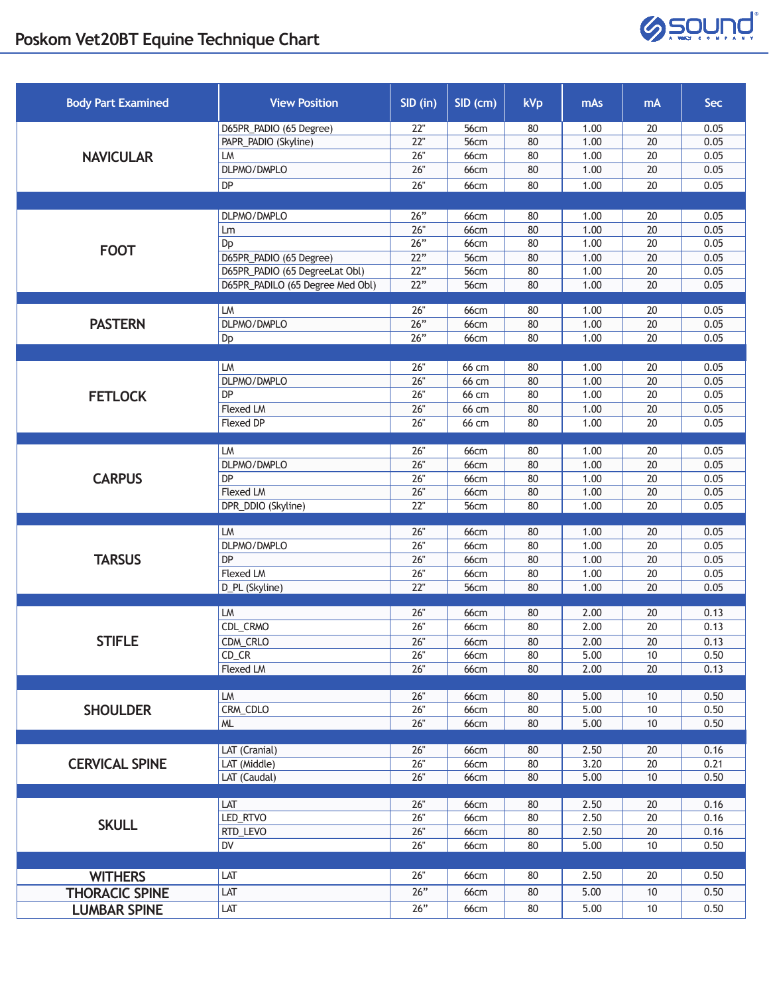## **Poskom Vet20BT Equine Technique Chart**



| <b>Body Part Examined</b> | <b>View Position</b>             | SID (in)          | SID (cm)     | kVp | mAs  | mA              | <b>Sec</b> |
|---------------------------|----------------------------------|-------------------|--------------|-----|------|-----------------|------------|
| <b>NAVICULAR</b>          | D65PR_PADIO (65 Degree)          | 22"               | 56cm         | 80  | 1.00 | 20              | 0.05       |
|                           | PAPR_PADIO (Skyline)             | 22"               | 56cm         | 80  | 1.00 | 20              | 0.05       |
|                           | LM                               | 26"               | 66cm         | 80  | 1.00 | 20              | 0.05       |
|                           | DLPMO/DMPLO                      | 26"               | <b>66cm</b>  | 80  | 1.00 | 20              | 0.05       |
|                           | DP                               | 26"               | <b>66cm</b>  | 80  | 1.00 | 20              | 0.05       |
|                           |                                  |                   |              |     |      |                 |            |
| <b>FOOT</b>               | DLPMO/DMPLO                      | 26"               | 66cm         | 80  | 1.00 | 20              | 0.05       |
|                           | Lm                               | 26"               | 66cm         | 80  | 1.00 | 20              | 0.05       |
|                           | Dp                               | 26"               | <b>66cm</b>  | 80  | 1.00 | 20              | 0.05       |
|                           | D65PR_PADIO (65 Degree)          | 22"               | 56cm         | 80  | 1.00 | 20              | 0.05       |
|                           | D65PR_PADIO (65 DegreeLat Obl)   | 22"               | 56cm         | 80  | 1.00 | $\overline{20}$ | 0.05       |
|                           | D65PR_PADILO (65 Degree Med Obl) | 22"               | 56cm         | 80  | 1.00 | 20              | 0.05       |
|                           | LM                               | 26"               | 66cm         | 80  | 1.00 | 20              | 0.05       |
| <b>PASTERN</b>            | DLPMO/DMPLO                      | 26"               | 66cm         | 80  | 1.00 | $\overline{20}$ | 0.05       |
|                           | Dp                               | 26"               | <b>66cm</b>  | 80  | 1.00 | $\overline{20}$ | 0.05       |
|                           |                                  |                   |              |     |      |                 |            |
|                           | LM                               | 26"               | 66 cm        | 80  | 1.00 | 20              | 0.05       |
|                           | DLPMO/DMPLO                      | 26"               | 66 cm        | 80  | 1.00 | 20              | 0.05       |
| <b>FETLOCK</b>            | <b>DP</b>                        | 26"               | 66 cm        | 80  | 1.00 | 20              | 0.05       |
|                           | Flexed LM                        | 26"               | 66 cm        | 80  | 1.00 | 20              | 0.05       |
|                           | Flexed DP                        | 26"               | 66 cm        | 80  | 1.00 | 20              | 0.05       |
|                           |                                  |                   |              |     |      |                 |            |
|                           | LM                               | 26"               | 66cm         | 80  | 1.00 | 20              | 0.05       |
|                           | DLPMO/DMPLO                      | 26"               | <b>66cm</b>  | 80  | 1.00 | $20\,$          | 0.05       |
| <b>CARPUS</b>             | <b>DP</b>                        | 26"               | <b>66cm</b>  | 80  | 1.00 | 20              | 0.05       |
|                           | <b>Flexed LM</b>                 | $\overline{26}$ " | <b>66cm</b>  | 80  | 1.00 | $\overline{20}$ | 0.05       |
|                           | DPR_DDIO (Skyline)               | 22"               | 56cm         | 80  | 1.00 | 20              | 0.05       |
|                           | LM                               | 26"               | 66cm         | 80  | 1.00 | 20              | 0.05       |
|                           | DLPMO/DMPLO                      | 26"               | <b>66cm</b>  | 80  | 1.00 | $\overline{20}$ | 0.05       |
| <b>TARSUS</b>             | DP                               | 26"               | <b>66cm</b>  | 80  | 1.00 | $\overline{20}$ | 0.05       |
|                           | Flexed LM                        | 26"               | <b>66cm</b>  | 80  | 1.00 | $\overline{20}$ | 0.05       |
|                           | D_PL (Skyline)                   | 22"               | 56cm         | 80  | 1.00 | 20              | 0.05       |
|                           |                                  |                   |              |     |      |                 |            |
|                           | LM                               | 26"               | 66cm         | 80  | 2.00 | 20              | 0.13       |
|                           | CDL_CRMO                         | 26"               | 66cm         | 80  | 2.00 | 20              | 0.13       |
| <b>STIFLE</b>             | CDM_CRLO                         | 26"               | 66cm         | 80  | 2.00 | 20              | 0.13       |
|                           | $CD_C$ R                         | 26"               | 66cm         | 80  | 5.00 | 10              | 0.50       |
|                           | <b>Flexed LM</b>                 | 26"               | <b>66cm</b>  | 80  | 2.00 | 20              | 0.13       |
|                           | LM                               | 26"               |              | 80  | 5.00 | 10              | 0.50       |
| <b>SHOULDER</b>           | CRM_CDLO                         | 26"               | 66cm<br>66cm | 80  | 5.00 | 10              | 0.50       |
|                           | ML                               | 26"               | <b>66cm</b>  | 80  | 5.00 | 10              | 0.50       |
|                           |                                  |                   |              |     |      |                 |            |
| <b>CERVICAL SPINE</b>     | LAT (Cranial)                    | 26"               | <b>66cm</b>  | 80  | 2.50 | 20              | 0.16       |
|                           | LAT (Middle)                     | 26"               | 66cm         | 80  | 3.20 | $\overline{20}$ | 0.21       |
|                           | LAT (Caudal)                     | 26"               | <b>66cm</b>  | 80  | 5.00 | 10              | 0.50       |
|                           |                                  |                   |              |     |      |                 |            |
| <b>SKULL</b>              | LAT                              | 26"               | 66cm         | 80  | 2.50 | 20              | 0.16       |
|                           | LED_RTVO                         | 26"               | 66cm         | 80  | 2.50 | $20\,$          | 0.16       |
|                           | RTD_LEVO                         | 26"               | <b>66cm</b>  | 80  | 2.50 | 20              | 0.16       |
|                           | DV                               | 26"               | <b>66cm</b>  | 80  | 5.00 | 10              | 0.50       |
|                           |                                  |                   |              |     |      |                 |            |
| <b>WITHERS</b>            | LAT                              | 26"               | 66cm         | 80  | 2.50 | 20              | 0.50       |
| <b>THORACIC SPINE</b>     | LAT                              | 26"               | 66cm         | 80  | 5.00 | 10              | 0.50       |
| <b>LUMBAR SPINE</b>       | LAT                              | 26"               | 66cm         | 80  | 5.00 | 10              | 0.50       |